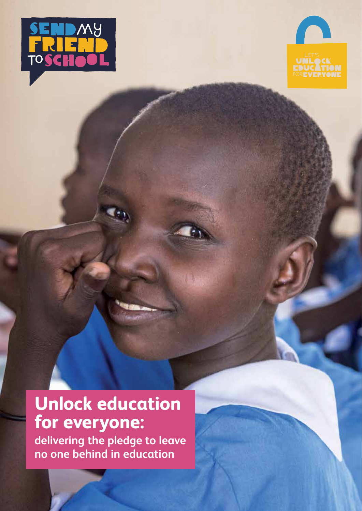



# **Unlock education for everyone:**

**delivering the pledge to leave no one behind in education**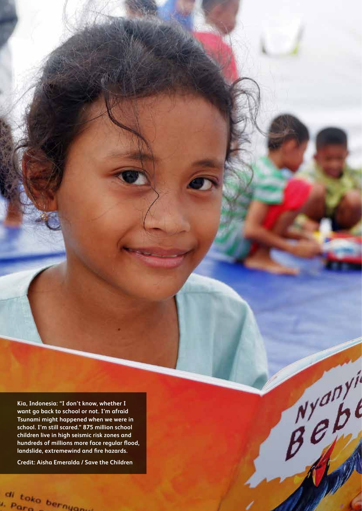**Kia, Indonesia: "I don't know, whether I want go back to school or not. I'm afraid Tsunami might happened when we were in school. I'm still scared." 875 million school children live in high seismic risk zones and hundreds of millions more face regular flood, landslide, extremewind and fire hazards.**

Ryanyi

**Credit: Aisha Emeralda / Save the Children**

di toko bernyar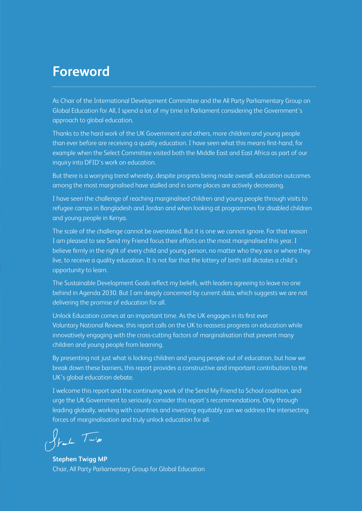### **Foreword**

As Chair of the International Development Committee and the All Party Parliamentary Group on Global Education for All, I spend a lot of my time in Parliament considering the Government's approach to global education.

Thanks to the hard work of the UK Government and others, more children and young people than ever before are receiving a quality education. I have seen what this means first-hand, for example when the Select Committee visited both the Middle East and East Africa as part of our inquiry into DFID's work on education.

But there is a worrying trend whereby, despite progress being made overall, education outcomes among the most marginalised have stalled and in some places are actively decreasing.

I have seen the challenge of reaching marginalised children and young people through visits to refugee camps in Bangladesh and Jordan and when looking at programmes for disabled children and young people in Kenya.

The scale of the challenge cannot be overstated. But it is one we cannot ignore. For that reason I am pleased to see Send my Friend focus their efforts on the most marginalised this year. I believe firmly in the right of every child and young person, no matter who they are or where they live, to receive a quality education. It is not fair that the lottery of birth still dictates a child's opportunity to learn.

The Sustainable Development Goals reflect my beliefs, with leaders agreeing to leave no one behind in Agenda 2030. But I am deeply concerned by current data, which suggests we are not delivering the promise of education for all.

Unlock Education comes at an important time. As the UK engages in its first ever Voluntary National Review, this report calls on the UK to reassess progress on education while innovatively engaging with the cross-cutting factors of marginalisation that prevent many children and young people from learning.

By presenting not just what is locking children and young people out of education, but how we break down these barriers, this report provides a constructive and important contribution to the UK's global education debate.

I welcome this report and the continuing work of the Send My Friend to School coalition, and urge the UK Government to seriously consider this report's recommendations. Only through leading globally, working with countries and investing equitably can we address the intersecting forces of marginalisation and truly unlock education for all.

Jeale Twip

**Stephen Twigg MP** Chair, All Party Parliamentary Group for Global Education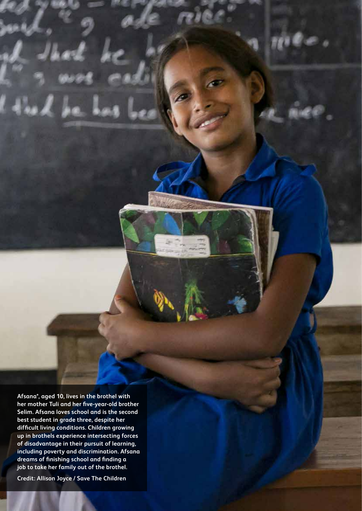**Afsana\*, aged 10, lives in the brothel with her mother Tuli and her five-year-old brother Selim. Afsana loves school and is the second best student in grade three, despite her difficult living conditions. Children growing up in brothels experience intersecting forces of disadvantage in their pursuit of learning, including poverty and discrimination. Afsana dreams of finishing school and finding a job to take her family out of the brothel.**

**Credit: Allison Joyce / Save The Children**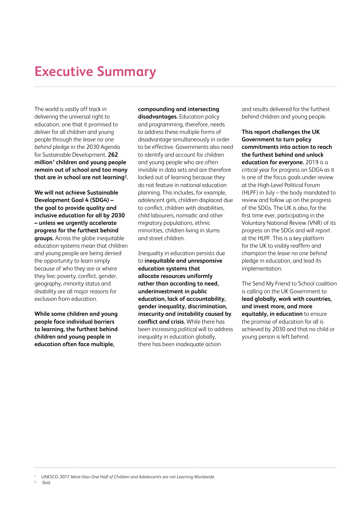## **Executive Summary**

The world is vastly off track in delivering the universal right to education, one that it promised to deliver for all children and young people through the *leave no one behind* pledge in the 2030 Agenda for Sustainable Development. **262 million1 children and young people remain out of school and too many that are in school are not learning2 .**

**We will not achieve Sustainable Development Goal 4 (SDG4) – the goal to provide quality and inclusive education for all by 2030 – unless we urgently accelerate progress for the furthest behind groups.** Across the globe inequitable education systems mean that children and young people are being denied the opportunity to learn simply because of who they are or where they live: poverty, conflict, gender, geography, minority status and disability are all major reasons for exclusion from education.

**While some children and young people face individual barriers to learning, the furthest behind children and young people in education often face multiple,** 

**compounding and intersecting disadvantages.** Education policy and programming, therefore, needs to address these multiple forms of disadvantage simultaneously in order to be effective. Governments also need to identify and account for children and young people who are often invisible in data sets and are therefore locked out of learning because they do not feature in national education planning. This includes, for example, adolescent girls, children displaced due to conflict, children with disabilities, child labourers, nomadic and other migratory populations, ethnic minorities, children living in slums and street children.

Inequality in education persists due to **inequitable and unresponsive education systems that allocate resources uniformly rather than according to need, underinvestment in public education, lack of accountability, gender inequality, discrimination, insecurity and instability caused by conflict and crisis.** While there has been increasing political will to address inequality in education globally, there has been inadequate action

and results delivered for the furthest behind children and young people.

**This report challenges the UK Government to turn policy commitments into action to reach the furthest behind and unlock education for everyone.** 2019 is a critical year for progress on SDG4 as it is one of the focus goals under review at the High-Level Political Forum (HLPF) in July – the body mandated to review and follow up on the progress of the SDGs. The UK is also, for the first time ever, participating in the Voluntary National Review (VNR) of its progress on the SDGs and will report at the HLPF. This is a key platform for the UK to visibly reaffirm and champion the *leave no one behind*  pledge in education, and lead its implementation.

The Send My Friend to School coalition is calling on the UK Government to **lead globally, work with countries, and invest more, and more equitably, in education** to ensure the promise of education for all is achieved by 2030 and that no child or young person is left behind.

<sup>1</sup> UNESCO, 2017. *More than One Half of Children and Adolescents are not Learning Worldwide.* 

Ibid.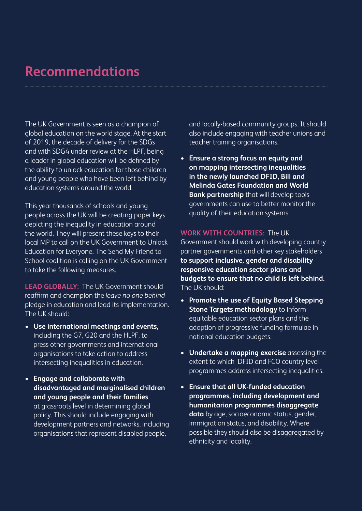## **Recommendations**

The UK Government is seen as a champion of global education on the world stage. At the start of 2019, the decade of delivery for the SDGs and with SDG4 under review at the HLPF, being a leader in global education will be defined by the ability to unlock education for those children and young people who have been left behind by education systems around the world.

This year thousands of schools and young people across the UK will be creating paper keys depicting the inequality in education around the world. They will present these keys to their local MP to call on the UK Government to Unlock Education for Everyone. The Send My Friend to School coalition is calling on the UK Government to take the following measures.

**LEAD GLOBALLY:** The UK Government should reaffirm and champion the *leave no one behind* pledge in education and lead its implementation. The UK should:

- **• Use international meetings and events,** including the G7, G20 and the HLPF, to press other governments and international organisations to take action to address intersecting inequalities in education.
- **• Engage and collaborate with disadvantaged and marginalised children and young people and their families** at grassroots level in determining global policy. This should include engaging with development partners and networks, including organisations that represent disabled people,

and locally-based community groups. It should also include engaging with teacher unions and teacher training organisations.

**• Ensure a strong focus on equity and on mapping intersecting inequalities in the newly launched DFID, Bill and Melinda Gates Foundation and World Bank partnership** that will develop tools governments can use to better monitor the quality of their education systems.

### **WORK WITH COUNTRIES:** The UK

Government should work with developing country partner governments and other key stakeholders **to support inclusive, gender and disability responsive education sector plans and budgets to ensure that no child is left behind.** The UK should:

- **• Promote the use of Equity Based Stepping Stone Targets methodology** to inform equitable education sector plans and the adoption of progressive funding formulae in national education budgets.
- **• Undertake a mapping exercise** assessing the extent to which DFID and FCO country level programmes address intersecting inequalities.
- **• Ensure that all UK-funded education programmes, including development and humanitarian programmes disaggregate data** by age, socioeconomic status, gender, immigration status, and disability. Where possible they should also be disaggregated by ethnicity and locality.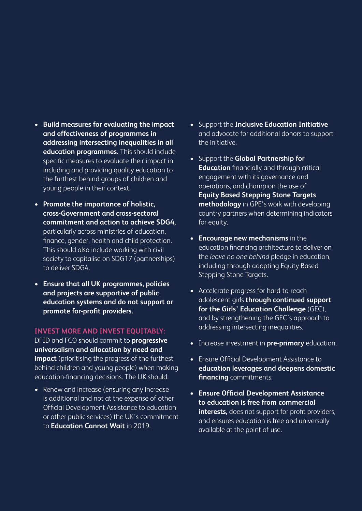- **• Build measures for evaluating the impact and effectiveness of programmes in addressing intersecting inequalities in all education programmes.** This should include specific measures to evaluate their impact in including and providing quality education to the furthest behind groups of children and young people in their context.
- **• Promote the importance of holistic, cross-Government and cross-sectoral commitment and action to achieve SDG4,** particularly across ministries of education, finance, gender, health and child protection. This should also include working with civil society to capitalise on SDG17 (partnerships) to deliver SDG4.
- **• Ensure that all UK programmes, policies and projects are supportive of public education systems and do not support or promote for-profit providers.**

### **INVEST MORE AND INVEST EQUITABLY:**

DFID and FCO should commit to **progressive universalism and allocation by need and impact** (prioritising the progress of the furthest behind children and young people) when making education-financing decisions. The UK should:

**•** Renew and increase (ensuring any increase is additional and not at the expense of other Official Development Assistance to education or other public services) the UK's commitment to **Education Cannot Wait** in 2019.

- **•** Support the **Inclusive Education Initiative** and advocate for additional donors to support the initiative.
- **•** Support the **Global Partnership for Education** financially and through critical engagement with its governance and operations, and champion the use of **Equity Based Stepping Stone Targets methodology** in GPE's work with developing country partners when determining indicators for equity.
- **• Encourage new mechanisms** in the education financing architecture to deliver on the *leave no one behind* pledge in education, including through adopting Equity Based Stepping Stone Targets.
- **•** Accelerate progress for hard-to-reach adolescent girls **through continued support for the Girls' Education Challenge** (GEC), and by strengthening the GEC's approach to addressing intersecting inequalities.
- **•** Increase investment in **pre-primary** education.
- **•** Ensure Official Development Assistance to **education leverages and deepens domestic financing** commitments.
- **• Ensure Official Development Assistance to education is free from commercial interests,** does not support for profit providers, and ensures education is free and universally available at the point of use.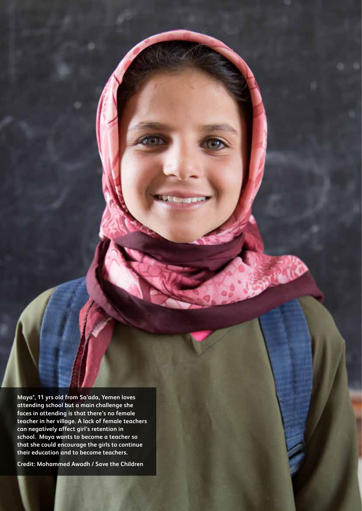**Maya\*, 11 yrs old from Sa'ada, Yemen loves attending school but a main challenge she faces in attending is that there's no female teacher in her village. A lack of female teachers can negatively affect girl's retention in school. Maya wants to become a teacher so that she could encourage the girls to continue their education and to become teachers.**

8 Unlock education for everyone: delivering the pledge to leave no one behind in education

**Credit: Mohammed Awadh / Save the Children**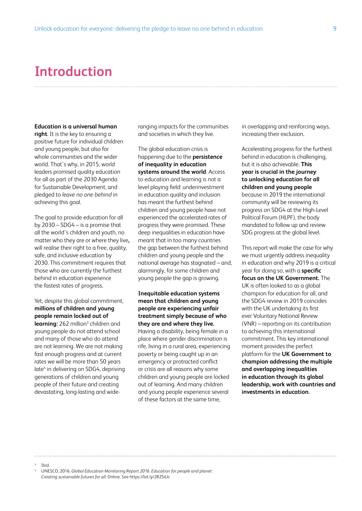### **Introduction**

#### **Education is a universal human**

**right**. It is the key to ensuring a positive future for individual children and young people, but also for whole communities and the wider world. That's why, in 2015, world leaders promised quality education for all as part of the 2030 Agenda for Sustainable Development, and pledged to *leave no one behind* in achieving this goal.

The goal to provide education for all by 2030 – SDG4 – is a promise that all the world's children and youth, no matter who they are or where they live**,** will realise their right to a free, quality, safe, and inclusive education by 2030. This commitment requires that those who are currently the furthest behind in education experience the fastest rates of progress.

Yet, despite this global commitment, **millions of children and young people remain locked out of**  learning: 262 million<sup>3</sup> children and young people do not attend school and many of those who do attend are not learning. We are not making fast enough progress and at current rates we will be more than 50 years late<sup>4</sup> in delivering on SDG4, depriving generations of children and young people of their future and creating devastating, long-lasting and wideranging impacts for the communities and societies in which they live.

The global education crisis is happening due to the **persistence of inequality in education systems around the world**. Access to education and learning is not a level playing field: underinvestment in education quality and inclusion has meant the furthest behind children and young people have not experienced the accelerated rates of progress they were promised. These deep inequalities in education have meant that in too many countries the gap between the furthest behind children and young people and the national average has stagnated – and, alarmingly, for some children and young people the gap is growing.

**Inequitable education systems mean that children and young people are experiencing unfair treatment simply because of who they are and where they live.**  Having a disability, being female in a place where gender discrimination is rife, living in a rural area, experiencing poverty or being caught up in an emergency or protracted conflict or crisis are all reasons why some children and young people are locked out of learning. And many children and young people experience several of these factors at the same time,

in overlapping and reinforcing ways, increasing their exclusion.

Accelerating progress for the furthest behind in education is challenging, but it is also achievable. **This year is crucial in the journey to unlocking education for all children and young people** because in 2019 the international community will be reviewing its progress on SDG4 at the High-Level Political Forum (HLPF), the body mandated to follow up and review SDG progress at the global level.

This report will make the case for why we must urgently address inequality in education and why 2019 is a critical year for doing so, with a **specific focus on the UK Government.** The UK is often looked to as a global champion for education for all, and the SDG4 review in 2019 coincides with the UK undertaking its first ever Voluntary National Review (VNR) – reporting on its contribution to achieving this international commitment. This key international moment provides the perfect platform for the **UK Government to champion addressing the multiple and overlapping inequalities in education through its global leadership, work with countries and investments in education.**

Ibid.<br>UNESCO, 2016. Global Education Monitoring Report 2016. Education for people and planet: *Creating sustainable futures for all.* Online. See https://bit.ly/2R2SiUc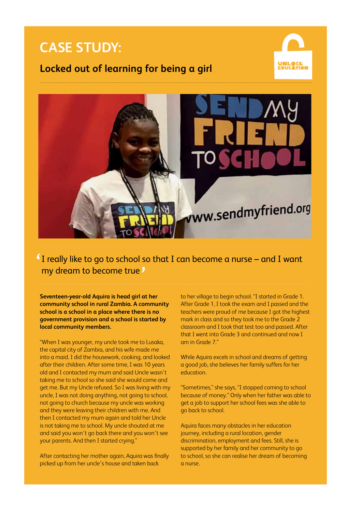

I really like to go to school so that I can become a nurse – and I want my dream to become true

**Seventeen-year-old Aquira is head girl at her community school in rural Zambia. A community school is a school in a place where there is no government provision and a school is started by local community members.** 

"When I was younger, my uncle took me to Lusaka, the capital city of Zambia, and his wife made me into a maid. I did the housework, cooking, and looked after their children. After some time, I was 10 years old and I contacted my mum and said Uncle wasn't taking me to school so she said she would come and get me. But my Uncle refused. So I was living with my uncle, I was not doing anything, not going to school, not going to church because my uncle was working and they were leaving their children with me. And then I contacted my mum again and told her Uncle is not taking me to school. My uncle shouted at me and said you won't go back there and you won't see your parents. And then I started crying."

After contacting her mother again, Aquira was finally picked up from her uncle's house and taken back

to her village to begin school. "I started in Grade 1. After Grade 1, I took the exam and I passed and the teachers were proud of me because I got the highest mark in class and so they took me to the Grade 2 classroom and I took that test too and passed. After that I went into Grade 3 and continued and now I am in Grade 7."

While Aquira excels in school and dreams of getting a good job, she believes her family suffers for her education.

"Sometimes," she says, "I stopped coming to school because of money." Only when her father was able to get a job to support her school fees was she able to go back to school.

Aquira faces many obstacles in her education journey, including a rural location, gender discrimination, employment and fees. Still, she is supported by her family and her community to go to school, so she can realise her dream of becoming a nurse.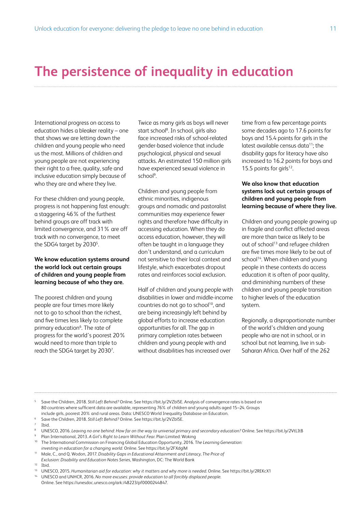### **The persistence of inequality in education**

International progress on access to education hides a bleaker reality – one that shows we are letting down the children and young people who need us the most. Millions of children and young people are not experiencing their right to a free, quality, safe and inclusive education simply because of who they are and where they live.

For these children and young people, progress is not happening fast enough: a staggering 46% of the furthest behind groups are off track with limited convergence, and 31% are off track with no convergence, to meet the SDG4 target by 2030<sup>5</sup>. .

### **We know education systems around the world lock out certain groups of children and young people from learning because of who they are.**

The poorest children and young people are four times more likely not to go to school than the richest, and five times less likely to complete primary education<sup>6</sup>. The rate of progress for the world's poorest 20% would need to more than triple to reach the SDG4 target by 2030<sup>7</sup>. .

Twice as many girls as boys will never start school<sup>8</sup>. In school, girls also face increased risks of school-related gender-based violence that include psychological, physical and sexual attacks. An estimated 150 million girls have experienced sexual violence in school<sup>9</sup>.

Children and young people from ethnic minorities, indigenous groups and nomadic and pastoralist communities may experience fewer rights and therefore have difficulty in accessing education. When they do access education, however, they will often be taught in a language they don't understand, and a curriculum not sensitive to their local context and lifestyle, which exacerbates dropout rates and reinforces social exclusion.

Half of children and young people with disabilities in lower and middle-income countries do not go to school<sup>10</sup>, and are being increasingly left behind by global efforts to increase education opportunities for all. The gap in primary completion rates between children and young people with and without disabilities has increased over

time from a few percentage points some decades ago to 17.6 points for boys and 15.4 points for girls in the latest available census data $11$ ; the disability gaps for literacy have also increased to 16.2 points for boys and 15.5 points for girls $12$ .

### **We also know that education systems lock out certain groups of children and young people from learning because of where they live.**

Children and young people growing up in fragile and conflict affected areas are more than twice as likely to be out of school<sup>13</sup> and refugee children are five times more likely to be out of school<sup>14</sup>. When children and young people in these contexts do access education it is often of poor quality, and diminishing numbers of these children and young people transition to higher levels of the education system.

Regionally, a disproportionate number of the world's children and young people who are not in school, or in school but not learning, live in sub-Saharan Africa. Over half of the 262

- <sup>6</sup> Save the Children, 2018. *Still Left Behind?* Online. See https://bit.ly/2VZbl5E.
- 
- <sup>7</sup> Ibid.<br><sup>8</sup> UNESCO, 2016. *Leaving no one behind: How far on the way to universal primary and secondary education? Online. See https://bit.ly/2VtLItB<br><sup>9</sup> Plan International, 2013. A Girl's Right to Learn Without Fear. Pl*
- 
- 
- 
- *investing in education for a changing world.* Online. See https://bit.ly/2FXdglM 11 Male, C., and Q. Wodon, 2017. *Disability Gaps in Educational Attainment and Literacy, The Price of*
- *Exclusion: Disability and Education Notes Series*, Washington, DC: The World Bank
- 

Online. See https://unesdoc.unesco.org/ark:/48223/pf0000244847.

<sup>5</sup> Save the Children, 2018. *Still Left Behind?* Online. See https://bit.ly/2VZbl5E. Analysis of convergence rates is based on 80 countries where sufficient data are available, representing 76% of children and young adults aged 15–24. Groups include girls, poorest 20% and rural areas. Data: UNESCO World Inequality Database on Education.

<sup>&</sup>lt;sup>13</sup> UNESCO, 2015. Humanitarian aid for education: why it matters and why more is needed. Online. See https://bit.ly/2REKcX1<br><sup>14</sup> UNESCO and UNHCR, 2016. No more excuses: provide education to all forcibly displaced people.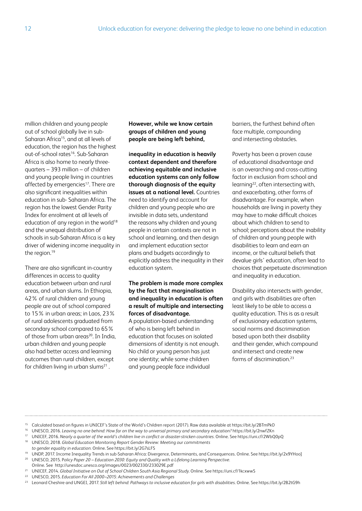million children and young people out of school globally live in sub-Saharan Africa<sup>15</sup>, and at all levels of education, the region has the highest out-of-school rates<sup>16</sup>. Sub-Saharan Africa is also home to nearly threequarters – 393 million – of children and young people living in countries affected by emergencies<sup>17</sup>. There are also significant inequalities within education in sub- Saharan Africa. The region has the lowest Gender Parity Index for enrolment at all levels of education of any region in the world<sup>18</sup> and the unequal distribution of schools in sub-Saharan Africa is a key driver of widening income inequality in the region.<sup>19</sup>

There are also significant in-country differences in access to quality education between urban and rural areas, and urban slums. In Ethiopia, 42% of rural children and young people are out of school compared to 15% in urban areas; in Laos, 23% of rural adolescents graduated from secondary school compared to 65% of those from urban areas<sup>20</sup>. In India, urban children and young people also had better access and learning outcomes than rural children, except for children living in urban slums $21$ .

**However, while we know certain groups of children and young people are being left behind,** 

**inequality in education is heavily context dependent and therefore achieving equitable and inclusive education systems can only follow thorough diagnosis of the equity issues at a national level.** Countries need to identify and account for children and young people who are invisible in data sets, understand the reasons why children and young people in certain contexts are not in school and learning, and then design and implement education sector plans and budgets accordingly to explicitly address the inequality in their education system.

### **The problem is made more complex by the fact that marginalisation and inequality in education is often a result of multiple and intersecting forces of disadvantage.**

A population-based understanding of who is being left behind in education that focuses on isolated dimensions of identity is not enough. No child or young person has just one identity; while some children and young people face individual

barriers, the furthest behind often face multiple, compounding and intersecting obstacles.

Poverty has been a proven cause of educational disadvantage and is an overarching and cross-cutting factor in exclusion from school and learning22, often intersecting with, and exacerbating, other forms of disadvantage. For example, when households are living in poverty they may have to make difficult choices about which children to send to school; perceptions about the inability of children and young people with disabilities to learn and earn an income, or the cultural beliefs that devalue girls' education, often lead to choices that perpetuate discrimination and inequality in education.

Disability also intersects with gender, and girls with disabilities are often least likely to be able to access a quality education. This is as a result of exclusionary education systems, social norms and discrimination based upon both their disability and their gender, which compound and intersect and create new forms of discrimination.<sup>23</sup>

- <sup>17</sup> UNICEF, 2016. *Nearly a quarter of the world's children live in conflict or disaster-stricken countries.* Online. See https://uni.cf/2WbQ0pQ
- <sup>18</sup> UNESCO, 2018. *Global Education Monitoring Report Gender Review: Meeting our commitments*
- *to gender equality in education.* Online. See https://bit.ly/2G7sLFS

<sup>15</sup> Calculated based on figures in UNICEF's State of the World's Children report (2017). Raw data available at https://bit.ly/2BTmPkO

<sup>16</sup> UNESCO, 2016. *Leaving no one behind: How far on the way to universal primary and secondary education?* https://bit.ly/2nwfZKn

<sup>19</sup> UNDP, 2017. Income Inequality Trends in sub-Saharan Africa: Divergence, Determinants, and Consequences. Online. See https://bit.ly/2x9YHoo] <sup>20</sup> UNESCO, 2015. P*olicy Paper 20 – Education 2030: Equity and Quality with a Lifelong Learning Perspective.* 

Online. See http://unesdoc.unesco.org/images/0023/002330/233029E.pdf

<sup>21</sup> UNICEF, 2014. *Global Initiative on Out of School Children South Asia Regional Study*. Online. See https://uni.cf/1kcxwwS 22 UNESCO, 2015. *Education For All 2000–2015: Achievements and Challenges*

<sup>23</sup> Leonard Cheshire and UNGEI, 2017. *Still left behind: Pathways to inclusive education for girls with disabilities*. Online. See https://bit.ly/2B2tG9h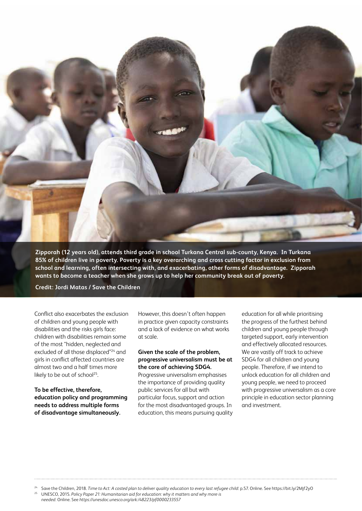

**Zipporah (12 years old), attends third grade in school Turkana Central sub-county, Kenya. In Turkana 85% of children live in poverty. Poverty is a key overarching and cross cutting factor in exclusion from school and learning, often intersecting with, and exacerbating, other forms of disadvantage. Zipporah wants to become a teacher when she grows up to help her community break out of poverty.** 

**Credit: Jordi Matas / Save the Children**

Conflict also exacerbates the exclusion of children and young people with disabilities and the risks girls face: children with disabilities remain some of the most "hidden, neglected and excluded of all those displaced"24 and girls in conflict affected countries are almost two and a half times more likely to be out of school<sup>25</sup>.

**To be effective, therefore, education policy and programming needs to address multiple forms of disadvantage simultaneously.** 

However, this doesn't often happen in practice given capacity constraints and a lack of evidence on what works at scale.

#### **Given the scale of the problem, progressive universalism must be at the core of achieving SDG4.**

Progressive universalism emphasises the importance of providing quality public services for all but with particular focus, support and action for the most disadvantaged groups. In education, this means pursuing quality

education for all while prioritising the progress of the furthest behind children and young people through targeted support, early intervention and effectively allocated resources. We are vastly off track to achieve SDG4 for all children and young people. Therefore, if we intend to unlock education for all children and young people, we need to proceed with progressive universalism as a core principle in education sector planning and investment.

Save the Children, 2018. Time to Act: A costed plan to deliver quality education to every last refugee child: p.57. Online. See https://bit.ly/2Mjf2yO<br>UNESCO, 2015. Policy Paper 21: Humanitarian aid for education: why it m

*needed.* Online. See *https://unesdoc.unesco.org/ark:/48223/pf0000233557*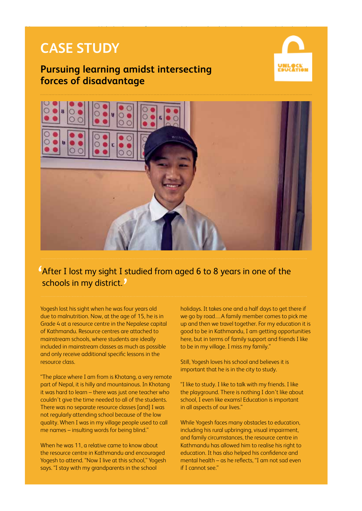### **CASE STUDY**

### **Pursuing learning amidst intersecting forces of disadvantage**





After I lost my sight I studied from aged 6 to 8 years in one of the schools in my district.<sup>2</sup>

Yogesh lost his sight when he was four years old due to malnutrition. Now, at the age of 15, he is in Grade 4 at a resource centre in the Nepalese capital of Kathmandu. Resource centres are attached to mainstream schools, where students are ideally included in mainstream classes as much as possible and only receive additional specific lessons in the resource class.

"The place where I am from is Khotang, a very remote part of Nepal, it is hilly and mountainous. In Khotang it was hard to learn – there was just one teacher who couldn't give the time needed to all of the students. There was no separate resource classes [and] I was not regularly attending school because of the low quality. When I was in my village people used to call me names – insulting words for being blind."

When he was 11, a relative came to know about the resource centre in Kathmandu and encouraged Yogesh to attend. "Now I live at this school," Yogesh says. "I stay with my grandparents in the school

holidays. It takes one and a half days to get there if we go by road…A family member comes to pick me up and then we travel together. For my education it is good to be in Kathmandu, I am getting opportunities here, but in terms of family support and friends I like to be in my village. I miss my family."

Still, Yogesh loves his school and believes it is important that he is in the city to study.

"I like to study. I like to talk with my friends. I like the playground. There is nothing I don't like about school, I even like exams! Education is important in all aspects of our lives."

While Yogesh faces many obstacles to education, including his rural upbringing, visual impairment, and family circumstances, the resource centre in Kathmandu has allowed him to realise his right to education. It has also helped his confidence and mental health – as he reflects, "I am not sad even if I cannot see."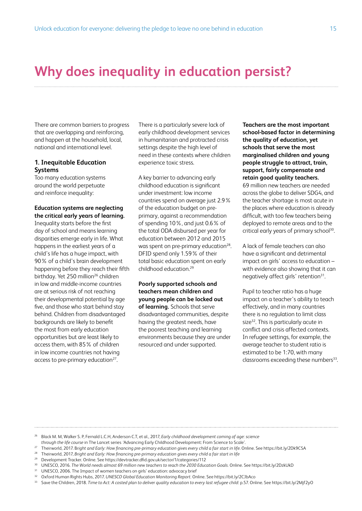### **Why does inequality in education persist?**

There are common barriers to progress that are overlapping and reinforcing, and happen at the household, local, national and international level.

### **1. Inequitable Education Systems**

Too many education systems around the world perpetuate and reinforce inequality:

### **Education systems are neglecting the critical early years of learning.**

Inequality starts before the first day of school and means learning disparities emerge early in life. What happens in the earliest years of a child's life has a huge impact, with 90% of a child's brain development happening before they reach their fifth birthday. Yet 250 million<sup>26</sup> children in low and middle-income countries are at serious risk of not reaching their developmental potential by age five, and those who start behind stay behind. Children from disadvantaged backgrounds are likely to benefit the most from early education opportunities but are least likely to access them, with 85% of children in low income countries not having access to pre-primary education<sup>27</sup>.

There is a particularly severe lack of early childhood development services in humanitarian and protracted crisis settings despite the high level of need in these contexts where children experience toxic stress.

A key barrier to advancing early childhood education is significant under investment: low income countries spend on average just 2.9% of the education budget on preprimary, against a recommendation of spending 10%, and just 0.6% of the total ODA disbursed per year for education between 2012 and 2015 was spent on pre-primary education<sup>28</sup>. DFID spend only 1.59% of their total basic education spent on early childhood education.29

**Poorly supported schools and teachers mean children and young people can be locked out of learning.** Schools that serve disadvantaged communities, despite having the greatest needs, have the poorest teaching and learning environments because they are under resourced and under supported.

**Teachers are the most important school-based factor in determining the quality of education, yet schools that serve the most marginalised children and young people struggle to attract, train, support, fairly compensate and retain good quality teachers.**  69 million new teachers are needed

across the globe to deliver SDG4, and the teacher shortage is most acute in the places where education is already difficult, with too few teachers being deployed to remote areas and to the critical early years of primary school<sup>30</sup>.

A lack of female teachers can also have a significant and detrimental impact on girls' access to education – with evidence also showing that it can negatively affect girls' retention<sup>31</sup>.

Pupil to teacher ratio has a huge impact on a teacher's ability to teach effectively, and in many countries there is no regulation to limit class size<sup>32</sup>. This is particularly acute in conflict and crisis affected contexts. In refugee settings, for example, the average teacher to student ratio is estimated to be 1:70, with many classrooms exceeding these numbers $33$ .

<sup>26</sup> Black M. M, Walker S. P, Fernald L.C.H, Anderson C.T, et al., 2017, *Early childhood development coming of age: science* 

through the life course in The Lancet series 'Advancing Early Childhood Development: From Science to Scale'.<br><sup>27</sup> Theirworld, 2017. Bright and Early: How financing pre-primary education gives every child a fair start in li

<sup>29</sup> Development Tracker. Online. See https://devtracker.dfid.gov.uk/sector/1/categories/112

<sup>&</sup>lt;sup>30</sup> UNESCO, 2016. *The World needs almost 69 million new teachers to reach the 2030 Education Goals*. Online. See https://bit.ly/2DzkUkD <sup>31</sup> UNESCO, 2006. The Impact of women teachers on girls' education: advocacy brief

<sup>&</sup>lt;sup>32</sup> Oxford Human Rights Hubs, 2017. UNESCO Global Education Monitoring Report. Online. See https://bit.ly/2CJbAco<br><sup>33</sup> Save the Children, 2018. Time to Act: A costed plan to deliver quality education to every last refugee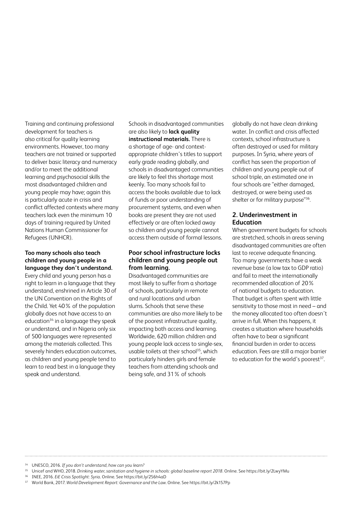Training and continuing professional development for teachers is also critical for quality learning environments. However, too many teachers are not trained or supported to deliver basic literacy and numeracy and/or to meet the additional learning and psychosocial skills the most disadvantaged children and young people may have; again this is particularly acute in crisis and conflict affected contexts where many teachers lack even the minimum 10 days of training required by United Nations Human Commissioner for Refugees (UNHCR).

### **Too many schools also teach children and young people in a language they don't understand.**

Every child and young person has a right to learn in a language that they understand, enshrined in Article 30 of the UN Convention on the Rights of the Child. Yet 40% of the population globally does not have access to an education $34$  in a language they speak or understand, and in Nigeria only six of 500 languages were represented among the materials collected. This severely hinders education outcomes, as children and young people tend to learn to read best in a language they speak and understand.

Schools in disadvantaged communities are also likely to **lack quality instructional materials.** There is a shortage of age- and contextappropriate children's titles to support early grade reading globally, and schools in disadvantaged communities are likely to feel this shortage most keenly. Too many schools fail to access the books available due to lack of funds or poor understanding of procurement systems, and even when books are present they are not used effectively or are often locked away so children and young people cannot access them outside of formal lessons.

### **Poor school infrastructure locks children and young people out from learning.**

Disadvantaged communities are most likely to suffer from a shortage of schools, particularly in remote and rural locations and urban slums. Schools that serve these communities are also more likely to be of the poorest infrastructure quality, impacting both access and learning. Worldwide, 620 million children and young people lack access to single-sex, usable toilets at their school<sup>35</sup>, which particularly hinders girls and female teachers from attending schools and being safe, and 31% of schools

globally do not have clean drinking water. In conflict and crisis affected contexts, school infrastructure is often destroyed or used for military purposes. In Syria, where years of conflict has seen the proportion of children and young people out of school triple, an estimated one in four schools are "either damaged, destroyed, or were being used as shelter or for military purpose"36*.*

### **2. Underinvestment in Education**

When government budgets for schools are stretched, schools in areas serving disadvantaged communities are often last to receive adequate financing. Too many governments have a weak revenue base (a low tax to GDP ratio) and fail to meet the internationally recommended allocation of 20% of national budgets to education. That budget is often spent with little sensitivity to those most in need – and the money allocated too often doesn't arrive in full. When this happens, it creates a situation where households often have to bear a significant financial burden in order to access education. Fees are still a major barrier to education for the world's poorest<sup>37</sup>.

<sup>34</sup> UNESCO, 2016. *If you don't understand, how can you learn?*

<sup>&</sup>lt;sup>35</sup> Unicef and WHO, 2018. Drinking water, sanitation and hygiene in schools: global baseline report 2018. Online. See https://bit.ly/2LwyYMu<br><sup>36</sup> INEE, 2016. EiE Crisis Spotlight: Syria. Online. See https://bit.ly/2S6h4aD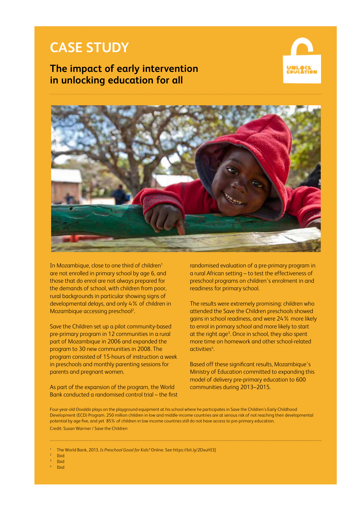### **CASE STUDY**

### **The impact of early intervention in unlocking education for all**





In Mozambique, close to one third of children<sup>1</sup> are not enrolled in primary school by age 6, and those that do enrol are not always prepared for the demands of school, with children from poor, rural backgrounds in particular showing signs of developmental delays, and only 4% of children in Mozambique accessing preschool<sup>2</sup>. .

Save the Children set up a pilot community-based pre-primary program in 12 communities in a rural part of Mozambique in 2006 and expanded the program to 30 new communities in 2008. The program consisted of 15-hours of instruction a week in preschools and monthly parenting sessions for parents and pregnant women.

As part of the expansion of the program, the World Bank conducted a randomised control trial – the first

randomised evaluation of a pre-primary program in a rural African setting – to test the effectiveness of preschool programs on children's enrolment in and readiness for primary school.

The results were extremely promising: children who attended the Save the Children preschools showed gains in school readiness, and were 24% more likely to enrol in primary school and more likely to start at the right age<sup>3</sup>. Once in school, they also spent more time on homework and other school-related activities<sup>4</sup>.

Based off these significant results, Mozambique's Ministry of Education committed to expanding this model of delivery pre-primary education to 600 communities during 2013–2015.

Four-year-old Osvaldo plays on the playground equipment at his school where he participates in Save the Children's Early Childhood Development (ECD) Program. 250 million children in low and middle-income countries are at serious risk of not reaching their developmental potential by age five, and yet 85% of children in low income countries still do not have access to pre-primary education. Credit: Susan Warrner / Save the Children

<sup>4</sup> Ibid

<sup>1</sup> The World Bank, 2013. *Is Preschool Good for Kids?* Online. See https://bit.ly/2DxuHI3]

<sup>2</sup> Ibid

**Ibid**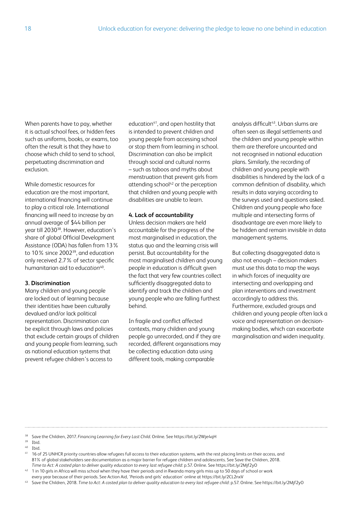When parents have to pay, whether it is actual school fees, or hidden fees such as uniforms, books, or exams, too often the result is that they have to choose which child to send to school, perpetuating discrimination and exclusion.

While domestic resources for education are the most important, international financing will continue to play a critical role. International financing will need to increase by an annual average of \$44 billion per year till 2030<sup>38</sup>. However, education's share of global Official Development Assistance (ODA) has fallen from 13% to 10% since 2002<sup>39</sup>, and education only received 2.7% of sector specific humanitarian aid to edu*cation*40*.* 

#### **3. Discrimination**

Many children and young people are locked out of learning because their identities have been culturally devalued and/or lack political representation. Discrimination can be explicit through laws and policies that exclude certain groups of children and young people from learning, such as national education systems that prevent refugee children's access to

education $41$ , and open hostility that is intended to prevent children and young people from accessing school or stop them from learning in school. Discrimination can also be implicit through social and cultural norms – such as taboos and myths about menstruation that prevent girls from attending school<sup>42</sup> or the perception that children and young people with disabilities are unable to learn.

#### **4. Lack of accountability**

Unless decision makers are held accountable for the progress of the most marginalised in education, the status quo and the learning crisis will persist. But accountability for the most marginalised children and young people in education is difficult given the fact that very few countries collect sufficiently disaggregated data to identify and track the children and young people who are falling furthest behind.

In fragile and conflict affected contexts, many children and young people go unrecorded, and if they are recorded, different organisations may be collecting education data using different tools, making comparable

analysis difficult<sup>43</sup>. Urban slums are often seen as illegal settlements and the children and young people within them are therefore uncounted and not recognised in national education plans. Similarly, the recording of children and young people with disabilities is hindered by the lack of a common definition of disability, which results in data varying according to the surveys used and questions asked. Children and young people who face multiple and intersecting forms of disadvantage are even more likely to be hidden and remain invisible in data management systems.

But collecting disaggregated data is also not enough – decision makers must use this data to map the ways in which forces of inequality are intersecting and overlapping and plan interventions and investment accordingly to address this. Furthermore, excluded groups and children and young people often lack a voice and representation on decisionmaking bodies, which can exacerbate marginalisation and widen inequality.

<sup>&</sup>lt;sup>38</sup> Save the Children, 2017. *Financing Learning for Every Last Child*. Online. See https://bit.ly/2Wje4qH<br><sup>39</sup> Ibid.<br><sup>40</sup> Ibid.

<sup>41 16</sup> of 25 UNHCR priority countries allow refugees full access to their education systems, with the rest placing limits on their access, and 81% of global stakeholders see documentation as a major barrier for refugee children and adolescents. See Save the Children, 2018.

Time to Act: A costed plan to deliver quality education to every last refugee child: p.57. Online. See https://bit.ly/2Mjf2yO<br><sup>42</sup> 1 in 10 girls in Africa will miss school when they have their periods and in Rwanda many gi

every year because of their periods. See Action Aid, 'Periods and girls' education' online at https://bit.ly/2CL2nxV

<sup>&</sup>lt;sup>43</sup> Save the Children, 2018. *Time to Act: A costed plan to deliver quality education to every last refugee child: p.57. Online. See https://bit.ly/2Mjf2yO*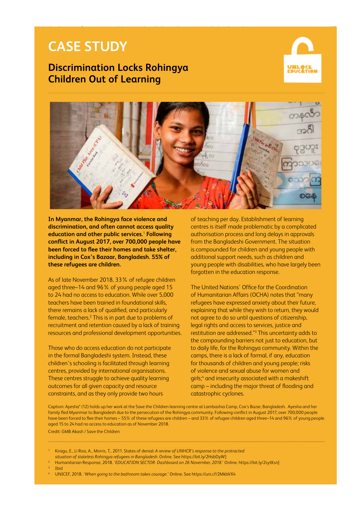### **CASE STUDY**

### **Discrimination Locks Rohingya Children Out of Learning**





**In Myanmar, the Rohingya face violence and discrimination, and often cannot access quality education and other public services.**<sup>1</sup>  **Following conflict in August 2017, over 700,000 people have been forced to flee their homes and take shelter, including in Cox's Bazaar, Bangladesh. 55% of these refugees are children.**

As of late November 2018, 33% of refugee children aged three–14 and 96% of young people aged 15 to 24 had no access to education. While over 5,000 teachers have been trained in foundational skills, there remains a lack of qualified, and particularly female, teachers.<sup>2</sup> This is in part due to problems of recruitment and retention caused by a lack of training resources and professional development opportunities.

Those who do access education do not participate in the formal Bangladeshi system. Instead, these children's schooling is facilitated through learning centres, provided by international organisations. These centres struggle to achieve quality learning outcomes for all given capacity and resource constraints, and as they only provide two hours

of teaching per day. Establishment of learning centres is itself made problematic by a complicated authorisation process and long delays in approvals from the Bangladeshi Government. The situation is compounded for children and young people with additional support needs, such as children and young people with disabilities, who have largely been forgotten in the education response.

The United Nations' Office for the Coordination of Humanitarian Affairs (OCHA) notes that "many refugees have expressed anxiety about their future, explaining that while they wish to return, they would not agree to do so until questions of citizenship, legal rights and access to services, justice and restitution are addressed."<sup>3</sup> This uncertainty adds to the compounding barriers not just to education, but to daily life, for the Rohingya community. Within the camps, there is a lack of formal, if any, education for thousands of children and young people; risks of violence and sexual abuse for women and girls;<sup>4</sup> and insecurity associated with a makeshift camp – including the major threat of flooding and catastrophic cyclones.

Caption: Ayesha\* (12) holds up her work at the Save the Children learning centre at Lambashia Camp, Cox's Bazar, Bangladesh. Ayesha and her family fled Myanmar to Bangladesh due to the persecution of the Rohingya community. Following conflict in August 2017, over 700,000 people have been forced to flee their homes – 55% of these refugees are children – and 33% of refugee children aged three–14 and 96% of young people aged 15 to 24 had no access to education as of November 2018.

Credit: GMB Akash / Save the Children

- <sup>2</sup> Humanitarian Response, 2018. '*EDUCATION SECTOR- Dashboard on 26 November, 2018*.' Online. https://bit.ly/2sytKsn]
- **Ibid**
- <sup>4</sup> UNICEF, 2018. *'When going to the bathroom takes courage.'* Online. See https://uni.cf/2MkbVX4

<sup>1</sup> Kiragu, E., Li Rosi, A., Morris, T,. 2011. States of denial: *A review of UNHCR's response to the protracted situation of stateless Rohingya refugees in Bangladesh.* Online. See https://bit.ly/2HsbDyW]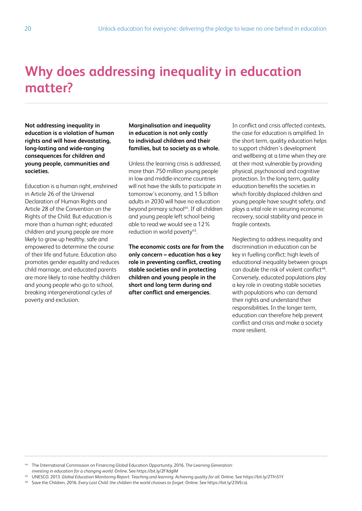## **Why does addressing inequality in education matter?**

**Not addressing inequality in education is a violation of human rights and will have devastating, long-lasting and wide-ranging consequences for children and young people, communities and societies.**

Education is a human right, enshrined in Article 26 of the Universal Declaration of Human Rights and Article 28 of the Convention on the Rights of the Child. But education is more than a human right; educated children and young people are more likely to grow up healthy, safe and empowered to determine the course of their life and future. Education also promotes gender equality and reduces child marriage, and educated parents are more likely to raise healthy children and young people who go to school, breaking intergenerational cycles of poverty and exclusion.

### **Marginalisation and inequality in education is not only costly to individual children and their families, but to society as a whole.**

Unless the learning crisis is addressed, more than 750 million young people in low and middle-income countries will not have the skills to participate in tomorrow's economy, and 1.5 billion adults in 2030 will have no education beyond primary school<sup>44</sup>. If all children and young people left school being able to read we would see a 12% reduction in world poverty<sup>45</sup>.

**The economic costs are far from the only concern – education has a key role in preventing conflict, creating stable societies and in protecting children and young people in the short and long term during and after conflict and emergencies.**

In conflict and crisis affected contexts, the case for education is amplified. In the short term, quality education helps to support children's development and wellbeing at a time when they are at their most vulnerable by providing physical, psychosocial and cognitive protection. In the long term, quality education benefits the societies in which forcibly displaced children and young people have sought safety, and plays a vital role in securing economic recovery, social stability and peace in fragile contexts.

Neglecting to address inequality and discrimination in education can be key in fuelling conflict: high levels of educational inequality between groups can double the risk of violent conflict<sup>46</sup>. Conversely, educated populations play a key role in creating stable societies with populations who can demand their rights and understand their responsibilities. In the longer term, education can therefore help prevent conflict and crisis and make a society more resilient.

<sup>44</sup> The International Commission on Financing Global Education Opportunity, 2016. T*he Learning Generation:* 

investing in education for a changing world. Online. See https://bit.ly/2FXdglM<br><sup>45</sup> UNESCO, 2013. Global Education Monitoring Report: Teaching and learning: Achieving quality for all. Online. See https://bit.ly/2Tfn51Y<br><sup>4</sup>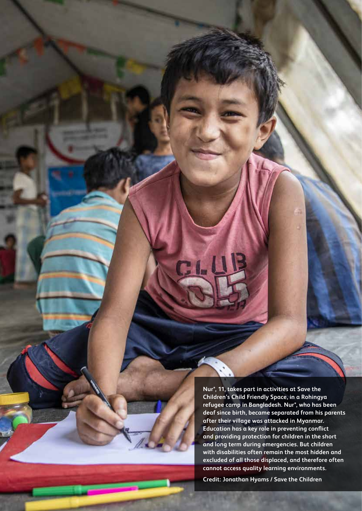**Nur\*, 11, takes part in activities at Save the Children's Child Friendly Space, in a Rohingya refugee camp in Bangladesh. Nur\*, who has been deaf since birth, became separated from his parents after their village was attacked in Myanmar. Education has a key role in preventing conflict and providing protection for children in the short and long term during emergencies. But children with disabilities often remain the most hidden and excluded of all those displaced, and therefore often cannot access quality learning environments.** 

**Credit: Jonathan Hyams / Save the Children**

Unlock education for everyone: delivering the pledge to leave no one behind in education 21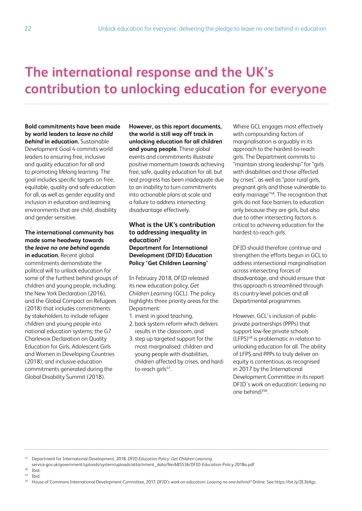## **The international response and the UK's contribution to unlocking education for everyone**

**Bold commitments have been made by world leaders to** *leave no child behind* **in education.** Sustainable Development Goal 4 commits world leaders to ensuring free, inclusive and quality education for all and to promoting lifelong learning. The goal includes specific targets on free, equitable, quality and safe education for all, as well as gender equality and inclusion in education and learning environments that are child, disability and gender sensitive.

### **The international community has made some headway towards the** *leave no one behind* **agenda**

**in education.** Recent global commitments demonstrate the political will to unlock education for some of the furthest behind groups of children and young people, including: the New York Declaration (2016), and the Global Compact on Refugees (2018) that includes commitments by stakeholders to include refugee children and young people into national education systems; the G7 Charlevoix Declaration on Quality Education for Girls, Adolescent Girls and Women in Developing Countries (2018); and inclusive education commitments generated during the Global Disability Summit (2018).

**However, as this report documents, the world is still way off track in unlocking education for all children and young people.** These global events and commitments illustrate positive momentum towards achieving free, safe, quality education for all, but real progress has been inadequate due to an inability to turn commitments into actionable plans at scale and a failure to address intersecting disadvantage effectively.

### **What is the UK's contribution to addressing inequality in education? Department for International Development (DFID) Education Policy 'Get Children Learning'**

In February 2018, DFID released its new education policy, *Get Children Learning* (GCL). The policy highlights three priority areas for the Department:

- 1. invest in good teaching,
- 2. back system reform which delivers results in the classroom, and
- 3. step up targeted support for the most marginalised: children and young people with disabilities, children affected by crises, and hardto-reach girls $47$ .

Where GCL engages most effectively with compounding factors of marginalisation is arguably in its approach to the hardest-to-reach girls. The Department commits to "maintain strong leadership" for "girls with disabilities and those affected by crises", as well as "poor rural girls, pregnant girls and those vulnerable to early marriage"<sup>48</sup>. The recognition that girls do not face barriers to education only because they are girls, but also due to other intersecting factors is critical to achieving education for the hardest-to-reach girls.

DFID should therefore continue and strengthen the efforts begun in GCL to address intersectional marginalisation across intersecting forces of disadvantage, and should ensure that this approach is streamlined through its country-level policies and all Departmental programmes.

However, GCL's inclusion of publicprivate partnerships (PPPs) that support low-fee private schools (LFPS)49 is problematic in relation to unlocking education for all. The ability of LFPS and PPPs to truly deliver on equity is contentious, as recognised in 2017 by the International Development Committee in its report DFID's work on education: Leaving no one behind?50.

<sup>47</sup> Department for International Development, 2018. *DFID Education Policy: Get Children Learning.* 

service.gov.uk/government/uploads/system/uploads/attachment\_data/file/685536/DFID-Education-Policy-2018a.pdf.<br><sup>48</sup> Ibid.<br><sup>49</sup> Ibid.

<sup>50</sup> House of Commons International Development Committee, 2017. *DFID's work on education: Leaving no one behind?* Online. See https://bit.ly/2E3bXgz.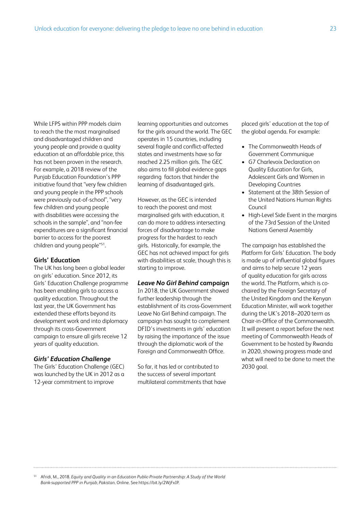While LFPS within PPP models claim to reach the the most marginalised and disadvantaged children and young people and provide a quality education at an affordable price, this has not been proven in the research. For example, a 2018 review of the Punjab Education Foundation's PPP initiative found that "very few children and young people in the PPP schools were previously out-of-school", "very few children and young people with disabilities were accessing the schools in the sample", and "non-fee expenditures are a significant financial barrier to access for the poorest children and young people"51.

#### **Girls' Education**

The UK has long been a global leader on girls' education. Since 2012, its Girls' Education Challenge programme has been enabling girls to access a quality education. Throughout the last year, the UK Government has extended these efforts beyond its development work and into diplomacy through its cross-Government campaign to ensure all girls receive 12 years of quality education.

#### *Girls' Education Challenge*

The Girls' Education Challenge (GEC) was launched by the UK in 2012 as a 12-year commitment to improve

learning opportunities and outcomes for the girls around the world. The GEC operates in 15 countries, including several fragile and conflict-affected states and investments have so far reached 2.25 million girls. The GEC also aims to fill global evidence gaps regarding factors that hinder the learning of disadvantaged girls.

However, as the GEC is intended to reach the poorest and most marginalised girls with education, it can do more to address intersecting forces of disadvantage to make progress for the hardest to reach girls. Historically, for example, the GEC has not achieved impact for girls with disabilities at scale, though this is starting to improve.

#### *Leave No Girl Behind* **campaign**

In 2018, the UK Government showed further leadership through the establishment of its cross-Government Leave No Girl Behind campaign. The campaign has sought to complement DFID's investments in girls' education by raising the importance of the issue through the diplomatic work of the Foreign and Commonwealth Office.

So far, it has led or contributed to the success of several important multilateral commitments that have

placed girls' education at the top of the global agenda. For example:

- **•** The Commonwealth Heads of Government Communique
- **•** G7 Charlevoix Declaration on Quality Education for Girls, Adolescent Girls and Women in Developing Countries
- **•** Statement at the 38th Session of the United Nations Human Rights Council
- **•** High-Level Side Event in the margins of the 73rd Session of the United Nations General Assembly

The campaign has established the Platform for Girls' Education. The body is made up of influential global figures and aims to help secure 12 years of quality education for girls across the world. The Platform, which is cochaired by the Foreign Secretary of the United Kingdom and the Kenyan Education Minister, will work together during the UK's 2018–2020 term as Chair-in-Office of the Commonwealth. It will present a report before the next meeting of Commonwealth Heads of Government to be hosted by Rwanda in 2020, showing progress made and what will need to be done to meet the 2030 goal.

<sup>51</sup> Afridi, M., 2018. *Equity and Quality in an Education Public-Private Partnership: A Study of the World Bank-supported PPP in Punjab, Pakistan*. Online. See https://bit.ly/2WjFxIP.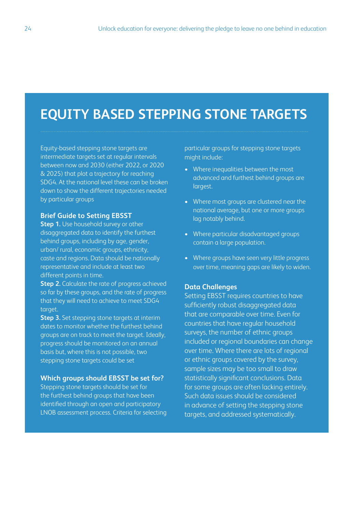## **EQUITY BASED STEPPING STONE TARGETS**

Equity-based stepping stone targets are intermediate targets set at regular intervals between now and 2030 (either 2022, or 2020 & 2025) that plot a trajectory for reaching SDG4. At the national level these can be broken down to show the different trajectories needed by particular groups

### **Brief Guide to Setting EBSST**

**Step 1.** Use household survey or other disaggregated data to identify the furthest behind groups, including by age, gender, urban/ rural, economic groups, ethnicity, caste and regions. Data should be nationally representative and include at least two different points in time.

**Step 2.** Calculate the rate of progress achieved so far by these groups, and the rate of progress that they will need to achieve to meet SDG4 target.

**Step 3.** Set stepping stone targets at interim dates to monitor whether the furthest behind groups are on track to meet the target. Ideally, progress should be monitored on an annual basis but, where this is not possible, two stepping stone targets could be set

#### **Which groups should EBSST be set for?**

Stepping stone targets should be set for the furthest behind groups that have been identified through an open and participatory LNOB assessment process. Criteria for selecting particular groups for stepping stone targets might include:

- **•** Where inequalities between the most advanced and furthest behind groups are largest.
- **•** Where most groups are clustered near the national average, but one or more groups lag notably behind.
- **•** Where particular disadvantaged groups contain a large population.
- **•** Where groups have seen very little progress over time, meaning gaps are likely to widen.

### **Data Challenges**

Setting EBSST requires countries to have sufficiently robust disaggregated data that are comparable over time. Even for countries that have regular household surveys, the number of ethnic groups included or regional boundaries can change over time. Where there are lots of regional or ethnic groups covered by the survey, sample sizes may be too small to draw statistically significant conclusions. Data for some groups are often lacking entirely. Such data issues should be considered in advance of setting the stepping stone targets, and addressed systematically.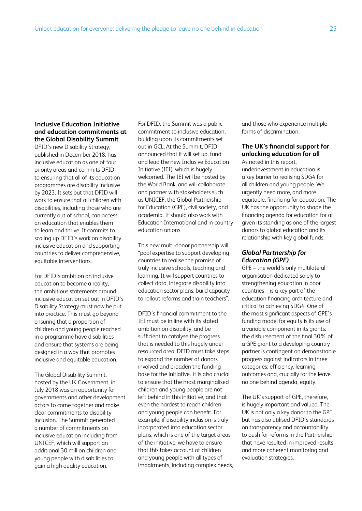### **Inclusive Education Initiative and education commitments at the Global Disability Summit**

DFID's new Disability Strategy, published in December 2018, has inclusive education as one of four priority areas and commits DFID to ensuring that all of its education programmes are disability inclusive by 2023. It sets out that DFID will work to ensure that all children with disabilities, including those who are currently out of school, can access an education that enables them to learn and thrive. It commits to scaling up DFID's work on disability inclusive education and supporting countries to deliver comprehensive, equitable interventions.

For DFID's ambition on inclusive education to become a reality, the ambitious statements around inclusive education set out in DFID's Disability Strategy must now be put into practice. This must go beyond ensuring that a proportion of children and young people reached in a programme have disabilities and ensure that systems are being designed in a way that promotes inclusive and equitable education.

The Global Disability Summit, hosted by the UK Government, in July 2018 was an opportunity for governments and other development actors to come together and make clear commitments to disability inclusion. The Summit generated a number of commitments on inclusive education including from UNICEF, which will support an additional 30 million children and young people with disabilities to gain a high quality education.

For DFID, the Summit was a public commitment to inclusive education, building upon its commitments set out in GCL. At the Summit, DFID announced that it will set up, fund and lead the new Inclusive Education Initiative (IEI), which is hugely welcomed. The IEI will be hosted by the World Bank, and will collaborate and partner with stakeholders such as UNICEF, the Global Partnership for Education (GPE), civil society, and academia. It should also work with Education International and in-country education unions.

This new multi-donor partnership will "pool expertise to support developing countries to realise the promise of truly inclusive schools, teaching and learning. It will support countries to collect data, integrate disability into education sector plans, build capacity to rollout reforms and train teachers".

DFID's financial commitment to the IEI must be in line with its stated ambition on disability, and be sufficient to catalyse the progress that is needed to this hugely under resourced area. DFID must take steps to expand the number of donors involved and broaden the funding base for the initiative. It is also crucial to ensure that the most marginalised children and young people are not left behind in this initiative, and that even the hardest to reach children and young people can benefit. For example, if disability inclusion is truly incorporated into education sector plans, which is one of the target areas of the initiative, we have to ensure that this takes account of children and young people with all types of impairments, including complex needs,

and those who experience multiple forms of discrimination.

### **The UK's financial support for unlocking education for all**

As noted in this report, underinvestment in education is a key barrier to realising SDG4 for all children and young people. We urgently need more, and more equitable, financing for education. The UK has the opportunity to shape the financing agenda for education for all given its standing as one of the largest donors to global education and its relationship with key global funds.

### *Global Partnership for Education (GPE)*

GPE – the world's only multilateral organisation dedicated solely to strengthening education in poor countries – is a key part of the education financing architecture and critical to achieving SDG4. One of the most significant aspects of GPE's funding model for equity is its use of a variable component in its grants: the disbursement of the final 30% of a GPE grant to a developing country partner is contingent on demonstrable progress against indicators in three categories: efficiency, learning outcomes and, crucially for the leave no one behind agenda, equity.

The UK's support of GPE, therefore, is hugely important and valued. The UK is not only a key donor to the GPE, but has also utilised DFID's standards on transparency and accountability to push for reforms in the Partnership that have resulted in improved results and more coherent monitoring and evaluation strategies.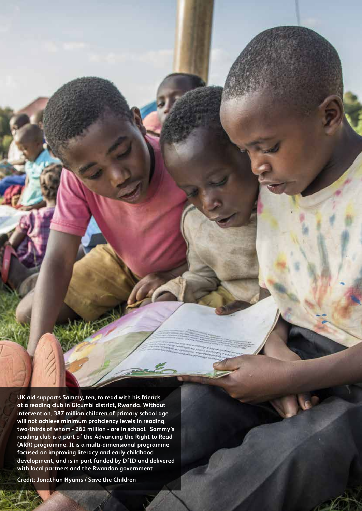**UK aid supports Sammy, ten, to read with his friends at a reading club in Gicumbi district, Rwanda. Without intervention, 387 million children of primary school age will not achieve minimum proficiency levels in reading, two-thirds of whom - 262 million - are in school. Sammy's reading club is a part of the Advancing the Right to Read (ARR) programme. It is a multi-dimensional programme focused on improving literacy and early childhood development, and is in part funded by DfID and delivered with local partners and the Rwandan government.** 

26 Unlock education for everyone: delivering the pledge to leave no one behind in education

**Credit: Jonathan Hyams / Save the Children**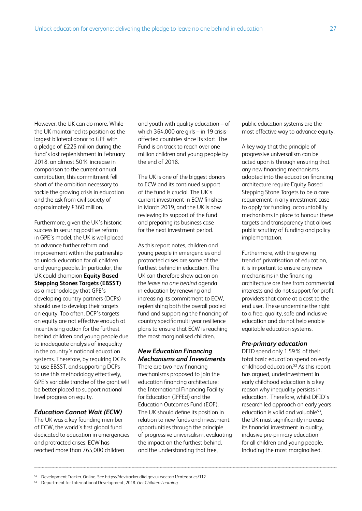However, the UK can do more. While the UK maintained its position as the largest bilateral donor to GPE with a pledge of £225 million during the fund's last replenishment in February 2018, an almost 50% increase in comparison to the current annual contribution, this commitment fell short of the ambition necessary to tackle the growing crisis in education and the ask from civil society of approximately £360 million.

Furthermore, given the UK's historic success in securing positive reform in GPE's model, the UK is well placed to advance further reform and improvement within the partnership to unlock education for all children and young people. In particular, the UK could champion **Equity Based Stepping Stones Targets (EBSST)** as a methodology that GPE's developing country partners (DCPs) should use to develop their targets on equity. Too often, DCP's targets on equity are not effective enough at incentivising action for the furthest behind children and young people due to inadequate analysis of inequality in the country's national education systems. Therefore, by requiring DCPs to use EBSST, and supporting DCPs to use this methodology effectively, GPE's variable tranche of the grant will be better placed to support national level progress on equity.

### *Education Cannot Wait (ECW)*

The UK was a key founding member of ECW, the world's first global fund dedicated to education in emergencies and protracted crises. ECW has reached more than 765,000 children

and youth with quality education – of which 364,000 are girls – in 19 crisisaffected countries since its start. The Fund is on track to reach over one million children and young people by the end of 2018.

The UK is one of the biggest donors to ECW and its continued support of the fund is crucial. The UK's current investment in ECW finishes in March 2019, and the UK is now reviewing its support of the fund and preparing its business case for the next investment period.

As this report notes, children and young people in emergencies and protracted crises are some of the furthest behind in education. The UK can therefore show action on the *leave no one behind* agenda in education by renewing and increasing its commitment to ECW, replenishing both the overall pooled fund and supporting the financing of country specific multi year resilience plans to ensure that ECW is reaching the most marginalised children.

#### *New Education Financing Mechanisms and Investments*

There are two new financing mechanisms proposed to join the education financing architecture: the International Financing Facility for Education (IFFEd) and the Education Outcomes Fund (EOF). The UK should define its position in relation to new funds and investment opportunities through the principle of progressive universalism, evaluating the impact on the furthest behind, and the understanding that free,

public education systems are the most effective way to advance equity.

A key way that the principle of progressive universalism can be acted upon is through ensuring that any new financing mechanisms adopted into the education financing architecture require Equity Based Stepping Stone Targets to be a core requirement in any investment case to apply for funding, accountability mechanisms in place to honour these targets and transparency that allows public scrutiny of funding and policy implementation.

Furthermore, with the growing trend of privatisation of education, it is important to ensure any new mechanisms in the financing architecture are free from commercial interests and do not support for-profit providers that come at a cost to the end user. These undermine the right to a free, quality, safe and inclusive education and do not help enable equitable education systems.

### *Pre-primary education*

DFID spend only 1.59% of their total basic education spend on early childhood education.52 As this report has argued, underinvestment in early childhood education is a key reason why inequality persists in education. Therefore, whilst DFID's research led approach on early years education is valid and valuable<sup>53</sup>. the UK must significantly increase its financial investment in quality, inclusive pre-primary education for all children and young people, including the most marginalised.

<sup>52</sup> Development Tracker. Online. See https://devtracker.dfid.gov.uk/sector/1/categories/112

<sup>53</sup> Department for International Development, 2018. *Get Children Learning*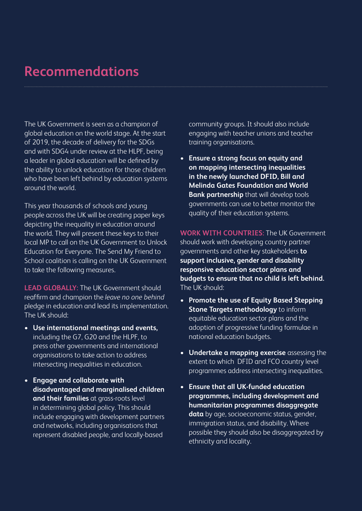### **Recommendations**

The UK Government is seen as a champion of global education on the world stage. At the start of 2019, the decade of delivery for the SDGs and with SDG4 under review at the HLPF, being a leader in global education will be defined by the ability to unlock education for those children who have been left behind by education systems around the world.

This year thousands of schools and young people across the UK will be creating paper keys depicting the inequality in education around the world. They will present these keys to their local MP to call on the UK Government to Unlock Education for Everyone. The Send My Friend to School coalition is calling on the UK Government to take the following measures.

**LEAD GLOBALLY:** The UK Government should reaffirm and champion the *leave no one behind*  pledge in education and lead its implementation. The UK should:

- **• Use international meetings and events,** including the G7, G20 and the HLPF, to press other governments and international organisations to take action to address intersecting inequalities in education.
- **• Engage and collaborate with disadvantaged and marginalised children and their families** at grass-roots level in determining global policy. This should include engaging with development partners and networks, including organisations that represent disabled people, and locally-based

community groups. It should also include engaging with teacher unions and teacher training organisations.

**• Ensure a strong focus on equity and on mapping intersecting inequalities in the newly launched DFID, Bill and Melinda Gates Foundation and World Bank partnership** that will develop tools governments can use to better monitor the quality of their education systems.

**WORK WITH COUNTRIES:** The UK Government should work with developing country partner governments and other key stakeholders **to support inclusive, gender and disability responsive education sector plans and budgets to ensure that no child is left behind.** The UK should:

- **• Promote the use of Equity Based Stepping Stone Targets methodology** to inform equitable education sector plans and the adoption of progressive funding formulae in national education budgets.
- **• Undertake a mapping exercise** assessing the extent to which DFID and FCO country level programmes address intersecting inequalities.
- **• Ensure that all UK-funded education programmes, including development and humanitarian programmes disaggregate data** by age, socioeconomic status, gender, immigration status, and disability. Where possible they should also be disaggregated by ethnicity and locality.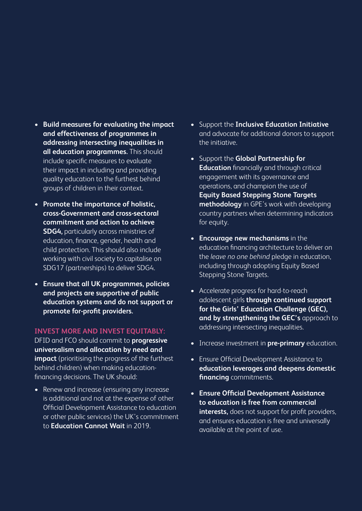- **• Build measures for evaluating the impact and effectiveness of programmes in addressing intersecting inequalities in all education programmes.** This should include specific measures to evaluate their impact in including and providing quality education to the furthest behind groups of children in their context.
- **• Promote the importance of holistic, cross-Government and cross-sectoral commitment and action to achieve SDG4,** particularly across ministries of education, finance, gender, health and child protection. This should also include working with civil society to capitalise on SDG17 (partnerships) to deliver SDG4.
- **• Ensure that all UK programmes, policies and projects are supportive of public education systems and do not support or promote for-profit providers.**

### **INVEST MORE AND INVEST EQUITABLY:**

DFID and FCO should commit to **progressive universalism and allocation by need and impact** (prioritising the progress of the furthest behind children) when making educationfinancing decisions. The UK should:

**•** Renew and increase (ensuring any increase is additional and not at the expense of other Official Development Assistance to education or other public services) the UK's commitment to **Education Cannot Wait** in 2019.

- **•** Support the **Inclusive Education Initiative** and advocate for additional donors to support the initiative.
- **•** Support the **Global Partnership for Education** financially and through critical engagement with its governance and operations, and champion the use of **Equity Based Stepping Stone Targets methodology** in GPE's work with developing country partners when determining indicators for equity.
- **• Encourage new mechanisms** in the education financing architecture to deliver on the *leave no one behind* pledge in education, including through adopting Equity Based Stepping Stone Targets.
- **•** Accelerate progress for hard-to-reach adolescent girls **through continued support for the Girls' Education Challenge (GEC), and by strengthening the GEC's** approach to addressing intersecting inequalities.
- **•** Increase investment in **pre-primary** education.
- **•** Ensure Official Development Assistance to **education leverages and deepens domestic financing** commitments.
- **• Ensure Official Development Assistance to education is free from commercial interests,** does not support for profit providers, and ensures education is free and universally available at the point of use.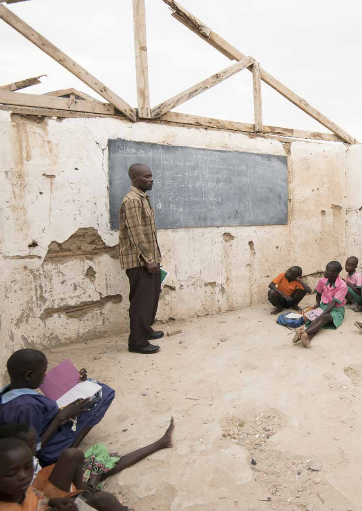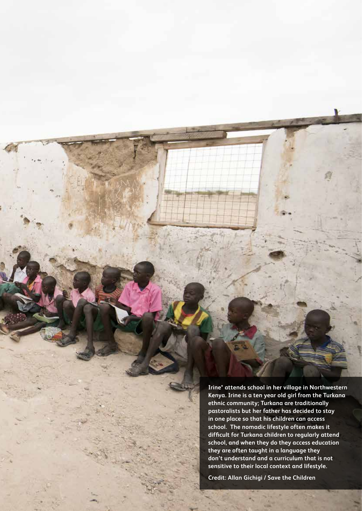**Irine\* attends school in her village in Northwestern Kenya. Irine is a ten year old girl from the Turkana ethnic community; Turkana are traditionally pastoralists but her father has decided to stay in one place so that his children can access school. The nomadic lifestyle often makes it difficult for Turkana children to regularly attend school, and when they do they access education they are often taught in a language they don't understand and a curriculum that is not sensitive to their local context and lifestyle. Credit: Allan Gichigi / Save the Children**